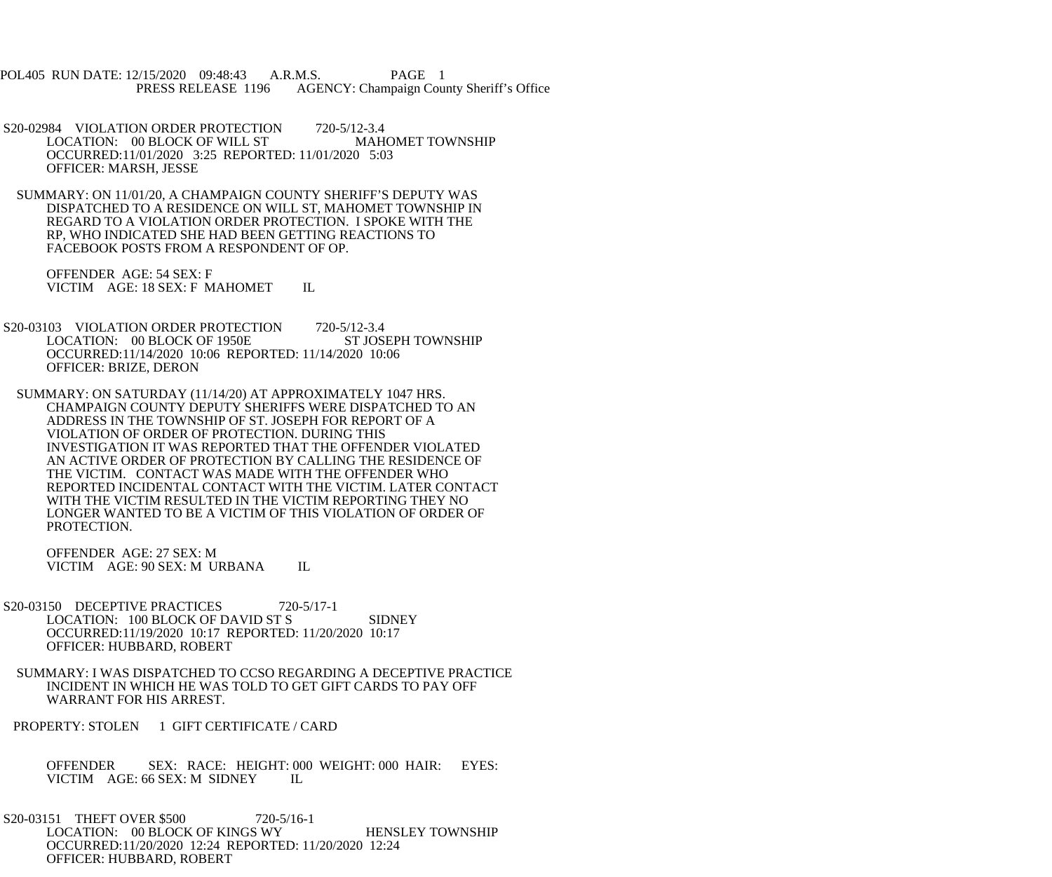POL405 RUN DATE: 12/15/2020 09:48:43 A.R.M.S. PAGE 1 PRESS RELEASE 1196 AGENCY: Champaign County Sheriff's Office

S20-02984 VIOLATION ORDER PROTECTION 720-5/12-3.4 LOCATION: 00 BLOCK OF WILL ST MAHOMET TOWNSHIP OCCURRED:11/01/2020 3:25 REPORTED: 11/01/2020 5:03 OFFICER: MARSH, JESSE

 SUMMARY: ON 11/01/20, A CHAMPAIGN COUNTY SHERIFF'S DEPUTY WAS DISPATCHED TO A RESIDENCE ON WILL ST, MAHOMET TOWNSHIP IN REGARD TO A VIOLATION ORDER PROTECTION. I SPOKE WITH THE RP, WHO INDICATED SHE HAD BEEN GETTING REACTIONS TO FACEBOOK POSTS FROM A RESPONDENT OF OP.

 OFFENDER AGE: 54 SEX: F VICTIM AGE: 18 SEX: F MAHOMET IL

S20-03103 VIOLATION ORDER PROTECTION 720-5/12-3.4<br>LOCATION: 00 BLOCK OF 1950E ST JOSEPH TOWNSHIP LOCATION: 00 BLOCK OF 1950E OCCURRED:11/14/2020 10:06 REPORTED: 11/14/2020 10:06 OFFICER: BRIZE, DERON

 SUMMARY: ON SATURDAY (11/14/20) AT APPROXIMATELY 1047 HRS. CHAMPAIGN COUNTY DEPUTY SHERIFFS WERE DISPATCHED TO AN ADDRESS IN THE TOWNSHIP OF ST. JOSEPH FOR REPORT OF A VIOLATION OF ORDER OF PROTECTION. DURING THIS INVESTIGATION IT WAS REPORTED THAT THE OFFENDER VIOLATED AN ACTIVE ORDER OF PROTECTION BY CALLING THE RESIDENCE OF THE VICTIM. CONTACT WAS MADE WITH THE OFFENDER WHO REPORTED INCIDENTAL CONTACT WITH THE VICTIM. LATER CONTACT WITH THE VICTIM RESULTED IN THE VICTIM REPORTING THEY NO LONGER WANTED TO BE A VICTIM OF THIS VIOLATION OF ORDER OF PROTECTION.

 OFFENDER AGE: 27 SEX: M VICTIM AGE: 90 SEX: M URBANA IL

S20-03150 DECEPTIVE PRACTICES 720-5/17-1 LOCATION: 100 BLOCK OF DAVID ST S SIDNEY OCCURRED:11/19/2020 10:17 REPORTED: 11/20/2020 10:17 OFFICER: HUBBARD, ROBERT

 SUMMARY: I WAS DISPATCHED TO CCSO REGARDING A DECEPTIVE PRACTICE INCIDENT IN WHICH HE WAS TOLD TO GET GIFT CARDS TO PAY OFF WARRANT FOR HIS ARREST.

PROPERTY: STOLEN 1 GIFT CERTIFICATE / CARD

 OFFENDER SEX: RACE: HEIGHT: 000 WEIGHT: 000 HAIR: EYES: VICTIM AGE: 66 SEX: M SIDNEY IL

S20-03151 THEFT OVER \$500 720-5/16-1 LOCATION: 00 BLOCK OF KINGS WY HENSLEY TOWNSHIP OCCURRED:11/20/2020 12:24 REPORTED: 11/20/2020 12:24 OFFICER: HUBBARD, ROBERT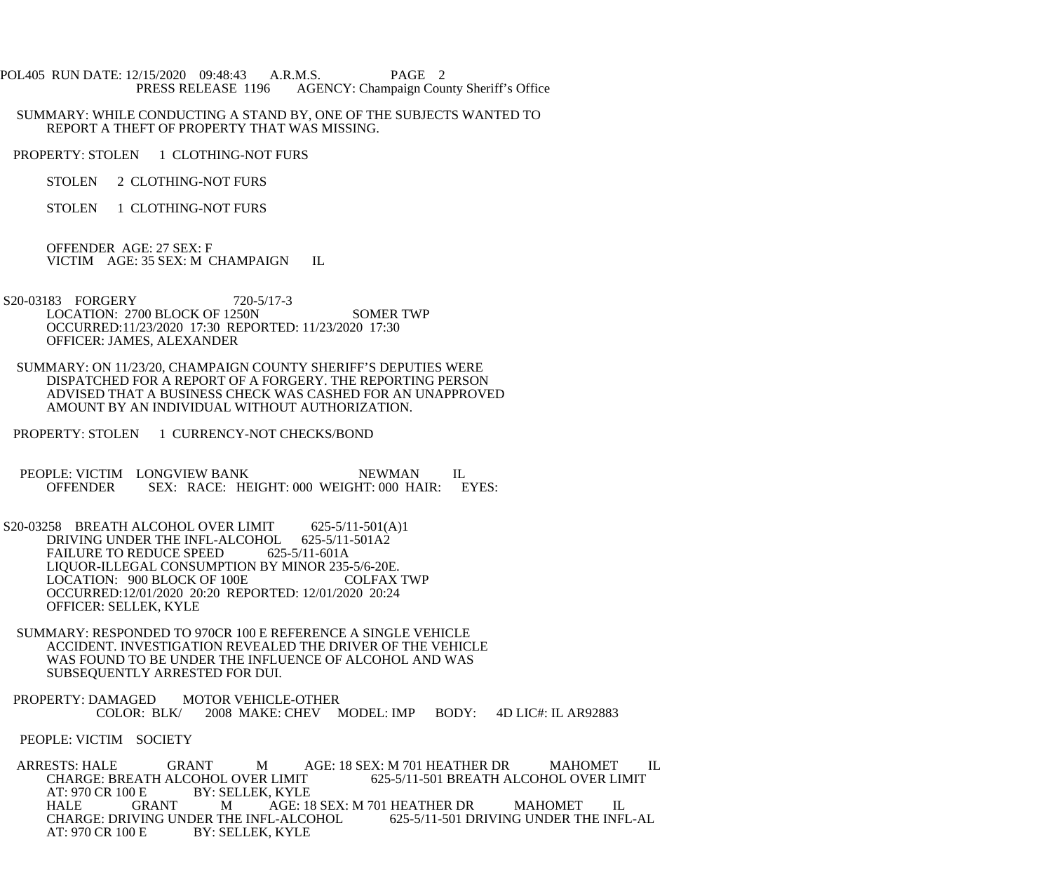POL405 RUN DATE: 12/15/2020 09:48:43 A.R.M.S. PAGE 2 PRESS RELEASE 1196 AGENCY: Champaign County Sheriff's Office

 SUMMARY: WHILE CONDUCTING A STAND BY, ONE OF THE SUBJECTS WANTED TO REPORT A THEFT OF PROPERTY THAT WAS MISSING.

PROPERTY: STOLEN 1 CLOTHING-NOT FURS

STOLEN 2 CLOTHING-NOT FURS

STOLEN 1 CLOTHING-NOT FURS

 OFFENDER AGE: 27 SEX: F VICTIM AGE: 35 SEX: M CHAMPAIGN IL

 S20-03183 FORGERY 720-5/17-3 LOCATION: 2700 BLOCK OF 1250N SOMER TWP OCCURRED:11/23/2020 17:30 REPORTED: 11/23/2020 17:30 OFFICER: JAMES, ALEXANDER

 SUMMARY: ON 11/23/20, CHAMPAIGN COUNTY SHERIFF'S DEPUTIES WERE DISPATCHED FOR A REPORT OF A FORGERY. THE REPORTING PERSON ADVISED THAT A BUSINESS CHECK WAS CASHED FOR AN UNAPPROVED AMOUNT BY AN INDIVIDUAL WITHOUT AUTHORIZATION.

PROPERTY: STOLEN 1 CURRENCY-NOT CHECKS/BOND

PEOPLE: VICTIM LONGVIEW BANK NEWMAN IL DEPENDER SEX: RACE: HEIGHT: 000 WEIGHT: 000 HAIR: EYES: SEX: RACE: HEIGHT: 000 WEIGHT: 000 HAIR:

 S20-03258 BREATH ALCOHOL OVER LIMIT 625-5/11-501(A)1 DRIVING UNDER THE INFL-ALCOHOL 625-5/11-501A2<br>FAILURE TO REDUCE SPEED 625-5/11-601A FAILURE TO REDUCE SPEED LIQUOR-ILLEGAL CONSUMPTION BY MINOR 235-5/6-20E. LOCATION: 900 BLOCK OF 100E COLFAX TWP OCCURRED:12/01/2020 20:20 REPORTED: 12/01/2020 20:24 OFFICER: SELLEK, KYLE

 SUMMARY: RESPONDED TO 970CR 100 E REFERENCE A SINGLE VEHICLE ACCIDENT. INVESTIGATION REVEALED THE DRIVER OF THE VEHICLE WAS FOUND TO BE UNDER THE INFLUENCE OF ALCOHOL AND WAS SUBSEQUENTLY ARRESTED FOR DUI.

PROPERTY: DAMAGED MOTOR VEHICLE-OTHER COLOR: BLK/ 2008 MAKE: CHEV 2008 MAKE: CHEV MODEL: IMP BODY: 4D LIC#: IL AR92883

PEOPLE: VICTIM SOCIETY

 ARRESTS: HALE GRANT M AGE: 18 SEX: M 701 HEATHER DR MAHOMET IL CHARGE: BREATH ALCOHOL OVER LIMIT 625-5/11-501 BREATH ALCOHOL OVER LIMIT<br>AT: 970 CR 100 E BY: SELLEK. KYLE AT: 970 CR 100 E BY: SELLEK, KYLE<br>HALE GRANT MAGE: 18 GRANT M AGE: 18 SEX: M 701 HEATHER DR MAHOMET IL CHARGE: DRIVING UNDER THE INFL-ALCOHOL 625-5/11-501 DRIVING UNDER THE INFL-AL<br>AT: 970 CR 100 E BY: SELLEK. KYLE BY: SELLEK, KYLE